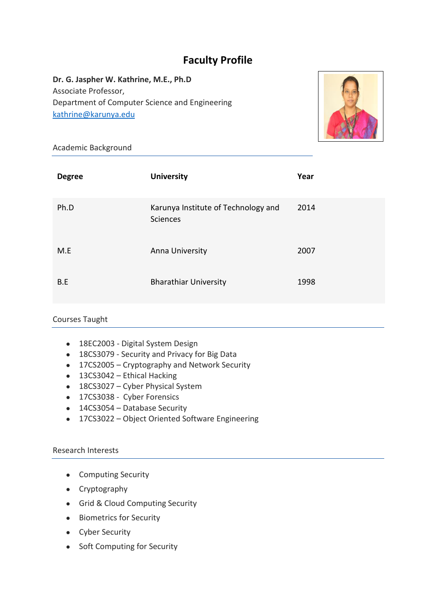## **Faculty Profile**

**Dr. G. Jaspher W. Kathrine, M.E., Ph.D** Associate Professor, Department of Computer Science and Engineering [kathrine@karunya.edu](mailto:kathrine@karunya.edu)



Academic Background

| <b>Degree</b> | <b>University</b>                               | Year |
|---------------|-------------------------------------------------|------|
| Ph.D          | Karunya Institute of Technology and<br>Sciences | 2014 |
| M.E           | Anna University                                 | 2007 |
| B.E           | <b>Bharathiar University</b>                    | 1998 |

## Courses Taught

- 18EC2003 Digital System Design
- 18CS3079 Security and Privacy for Big Data
- 17CS2005 Cryptography and Network Security
- 13CS3042 Ethical Hacking
- 18CS3027 Cyber Physical System
- 17CS3038 Cyber Forensics
- 14CS3054 Database Security
- 17CS3022 Object Oriented Software Engineering

## Research Interests

- Computing Security
- Cryptography
- Grid & Cloud Computing Security
- Biometrics for Security
- Cyber Security
- Soft Computing for Security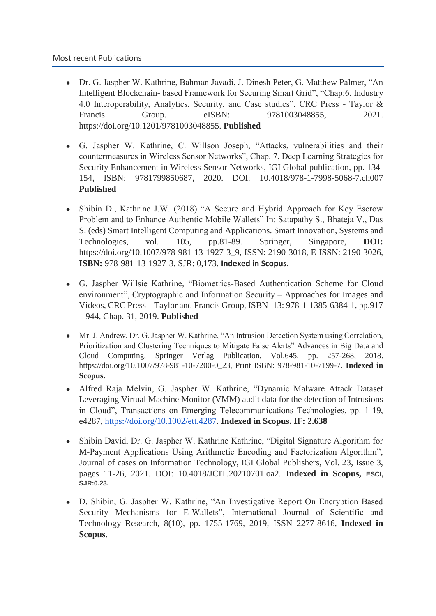- Dr. G. Jaspher W. Kathrine, Bahman Javadi, J. Dinesh Peter, G. Matthew Palmer, "An Intelligent Blockchain- based Framework for Securing Smart Grid", "Chap:6, Industry 4.0 Interoperability, Analytics, Security, and Case studies", CRC Press - Taylor & Francis Group. eISBN: 9781003048855, 2021. https://doi.org/10.1201/9781003048855. **Published**
- G. Jaspher W. Kathrine, C. Willson Joseph, "Attacks, vulnerabilities and their countermeasures in Wireless Sensor Networks", Chap. 7, Deep Learning Strategies for Security Enhancement in Wireless Sensor Networks, IGI Global publication, pp. 134- 154, ISBN: 9781799850687, 2020. DOI: 10.4018/978-1-7998-5068-7.ch007 **Published**
- Shibin D., Kathrine J.W. (2018) "A Secure and Hybrid Approach for Key Escrow Problem and to Enhance Authentic Mobile Wallets" In: Satapathy S., Bhateja V., Das S. (eds) Smart Intelligent Computing and Applications. Smart Innovation, Systems and Technologies, vol. 105, pp.81-89. Springer, Singapore, **DOI:**  https://doi.org/10.1007/978-981-13-1927-3\_9, ISSN: 2190-3018, E-ISSN: 2190-3026, **ISBN:** 978-981-13-1927-3, SJR: 0,173. **Indexed in Scopus.**
- G. Jaspher Willsie Kathrine, "Biometrics-Based Authentication Scheme for Cloud environment", Cryptographic and Information Security – Approaches for Images and Videos, CRC Press – Taylor and Francis Group, ISBN -13: 978-1-1385-6384-1, pp.917 – 944, Chap. 31, 2019. **Published**
- Mr. J. Andrew, Dr. G. Jaspher W. Kathrine, "An Intrusion Detection System using Correlation, Prioritization and Clustering Techniques to Mitigate False Alerts" Advances in Big Data and Cloud Computing, Springer Verlag Publication, Vol.645, pp. 257-268, 2018. https://doi.org/10.1007/978-981-10-7200-0\_23, Print ISBN: 978-981-10-7199-7. **Indexed in Scopus.**
- Alfred Raja Melvin, G. Jaspher W. Kathrine, "Dynamic Malware Attack Dataset Leveraging Virtual Machine Monitor (VMM) audit data for the detection of Intrusions in Cloud", Transactions on Emerging Telecommunications Technologies, pp. 1-19, e4287, [https://doi.org/10.1002/ett.4287.](https://doi.org/10.1002/ett.4287) **Indexed in Scopus. IF: 2.638**
- Shibin David, Dr. G. Jaspher W. Kathrine Kathrine, "Digital Signature Algorithm for M-Payment Applications Using Arithmetic Encoding and Factorization Algorithm", Journal of cases on Information Technology, IGI Global Publishers, Vol. 23, Issue 3, pages 11-26, 2021. DOI: 10.4018/JCIT.20210701.oa2. **Indexed in Scopus, ESCI, SJR:0.23.**
- D. Shibin, G. Jaspher W. Kathrine, "An Investigative Report On Encryption Based Security Mechanisms for E-Wallets", International Journal of Scientific and Technology Research, 8(10), pp. 1755-1769, 2019, ISSN 2277-8616, **Indexed in Scopus.**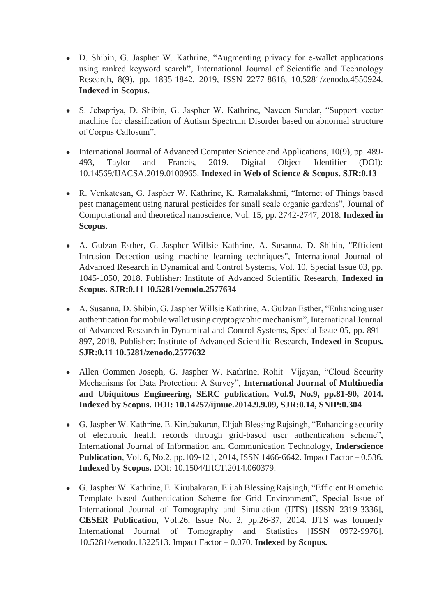- D. Shibin, G. Jaspher W. Kathrine, "Augmenting privacy for e-wallet applications using ranked keyword search", International Journal of Scientific and Technology Research, 8(9), pp. 1835-1842, 2019, ISSN 2277-8616, 10.5281/zenodo.4550924. **Indexed in Scopus.**
- S. Jebapriya, D. Shibin, G. Jaspher W. Kathrine, Naveen Sundar, "Support vector machine for classification of Autism Spectrum Disorder based on abnormal structure of Corpus Callosum",
- International Journal of Advanced Computer Science and Applications, 10(9), pp. 489-493, Taylor and Francis, 2019. Digital Object Identifier (DOI): 10.14569/IJACSA.2019.0100965. **Indexed in Web of Science & Scopus. SJR:0.13**
- R. Venkatesan, G. Jaspher W. Kathrine, K. Ramalakshmi, "Internet of Things based pest management using natural pesticides for small scale organic gardens", Journal of Computational and theoretical nanoscience, Vol. 15, pp. 2742-2747, 2018. **Indexed in Scopus.**
- A. Gulzan Esther, G. Jaspher Willsie Kathrine, A. Susanna, D. Shibin, "Efficient Intrusion Detection using machine learning techniques", International Journal of Advanced Research in Dynamical and Control Systems, Vol. 10, Special Issue 03, pp. 1045-1050, 2018. Publisher: Institute of Advanced Scientific Research, **Indexed in Scopus. SJR:0.11 10.5281/zenodo.2577634**
- A. Susanna, D. Shibin, G. Jaspher Willsie Kathrine, A. Gulzan Esther, "Enhancing user authentication for mobile wallet using cryptographic mechanism", International Journal of Advanced Research in Dynamical and Control Systems, Special Issue 05, pp. 891- 897, 2018. Publisher: Institute of Advanced Scientific Research, **Indexed in Scopus. SJR:0.11 10.5281/zenodo.2577632**
- Allen Oommen Joseph, G. Jaspher W. Kathrine, Rohit Vijayan, "Cloud Security Mechanisms for Data Protection: A Survey", **International Journal of Multimedia and Ubiquitous Engineering, SERC publication, Vol.9, No.9, pp.81-90, 2014. Indexed by Scopus. DOI: 10.14257/ijmue.2014.9.9.09, SJR:0.14, SNIP:0.304**
- G. Jaspher W. Kathrine, E. Kirubakaran, Elijah Blessing Rajsingh, "Enhancing security of electronic health records through grid-based user authentication scheme", International Journal of Information and Communication Technology, **Inderscience Publication**, Vol. 6, No.2, pp.109-121, 2014, ISSN 1466-6642. Impact Factor – 0.536. **Indexed by Scopus.** DOI: 10.1504/IJICT.2014.060379.
- G. Jaspher W. Kathrine, E. Kirubakaran, Elijah Blessing Rajsingh, "Efficient Biometric Template based Authentication Scheme for Grid Environment", Special Issue of International Journal of Tomography and Simulation (IJTS) [ISSN 2319-3336], **CESER Publication**, Vol.26, Issue No. 2, pp.26-37, 2014. IJTS was formerly International Journal of Tomography and Statistics [ISSN 0972-9976]. 10.5281/zenodo.1322513. Impact Factor – 0.070. **Indexed by Scopus.**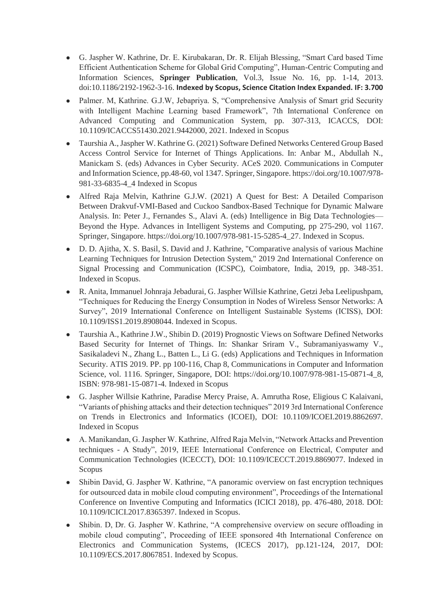- G. Jaspher W. Kathrine, Dr. E. Kirubakaran, Dr. R. Elijah Blessing, "Smart Card based Time Efficient Authentication Scheme for Global Grid Computing", Human-Centric Computing and Information Sciences, **Springer Publication**, Vol.3, Issue No. 16, pp. 1-14, 2013. doi:10.1186/2192-1962-3-16. **Indexed by Scopus, Science Citation Index Expanded. IF: 3.700**
- Palmer. M, Kathrine. G.J.W, Jebapriya. S, "Comprehensive Analysis of Smart grid Security with Intelligent Machine Learning based Framework", 7th International Conference on Advanced Computing and Communication System, pp. 307-313, ICACCS, DOI: 10.1109/ICACCS51430.2021.9442000, 2021. Indexed in Scopus
- Taurshia A., Jaspher W. Kathrine G. (2021) Software Defined Networks Centered Group Based Access Control Service for Internet of Things Applications. In: Anbar M., Abdullah N., Manickam S. (eds) Advances in Cyber Security. ACeS 2020. Communications in Computer and Information Science, pp.48-60, vol 1347. Springer, Singapore. https://doi.org/10.1007/978- 981-33-6835-4\_4 Indexed in Scopus
- Alfred Raja Melvin, Kathrine G.J.W. (2021) A Quest for Best: A Detailed Comparison Between Drakvuf-VMI-Based and Cuckoo Sandbox-Based Technique for Dynamic Malware Analysis. In: Peter J., Fernandes S., Alavi A. (eds) Intelligence in Big Data Technologies— Beyond the Hype. Advances in Intelligent Systems and Computing, pp 275-290, vol 1167. Springer, Singapore. https://doi.org/10.1007/978-981-15-5285-4\_27. Indexed in Scopus.
- D. D. Ajitha, X. S. Basil, S. David and J. Kathrine, "Comparative analysis of various Machine Learning Techniques for Intrusion Detection System," 2019 2nd International Conference on Signal Processing and Communication (ICSPC), Coimbatore, India, 2019, pp. 348-351. Indexed in Scopus.
- R. Anita, Immanuel Johnraja Jebadurai, G. Jaspher Willsie Kathrine, Getzi Jeba Leelipushpam, "Techniques for Reducing the Energy Consumption in Nodes of Wireless Sensor Networks: A Survey", 2019 International Conference on Intelligent Sustainable Systems (ICISS), DOI: 10.1109/ISS1.2019.8908044. Indexed in Scopus.
- Taurshia A., Kathrine J.W., Shibin D. (2019) Prognostic Views on Software Defined Networks Based Security for Internet of Things. In: Shankar Sriram V., Subramaniyaswamy V., Sasikaladevi N., Zhang L., Batten L., Li G. (eds) Applications and Techniques in Information Security. ATIS 2019. PP. pp 100-116, Chap 8, Communications in Computer and Information Science, vol. 1116. Springer, Singapore, DOI: https://doi.org/10.1007/978-981-15-0871-4\_8, ISBN: 978-981-15-0871-4. Indexed in Scopus
- G. Jaspher Willsie Kathrine, Paradise Mercy Praise, A. Amrutha Rose, Eligious C Kalaivani, "Variants of phishing attacks and their detection techniques" 2019 3rd International Conference on Trends in Electronics and Informatics (ICOEI), DOI: 10.1109/ICOEI.2019.8862697. Indexed in Scopus
- A. Manikandan, G. Jaspher W. Kathrine, Alfred Raja Melvin, "Network Attacks and Prevention techniques - A Study", 2019, IEEE International Conference on Electrical, Computer and Communication Technologies (ICECCT), DOI: 10.1109/ICECCT.2019.8869077. Indexed in Scopus
- Shibin David, G. Jaspher W. Kathrine, "A panoramic overview on fast encryption techniques for outsourced data in mobile cloud computing environment", Proceedings of the International Conference on Inventive Computing and Informatics (ICICI 2018), pp. 476-480, 2018. DOI: 10.1109/ICICI.2017.8365397. Indexed in Scopus.
- Shibin. D, Dr. G. Jaspher W. Kathrine, "A comprehensive overview on secure offloading in mobile cloud computing", Proceeding of IEEE sponsored 4th International Conference on Electronics and Communication Systems, (ICECS 2017), pp.121-124, 2017, DOI: 10.1109/ECS.2017.8067851. Indexed by Scopus.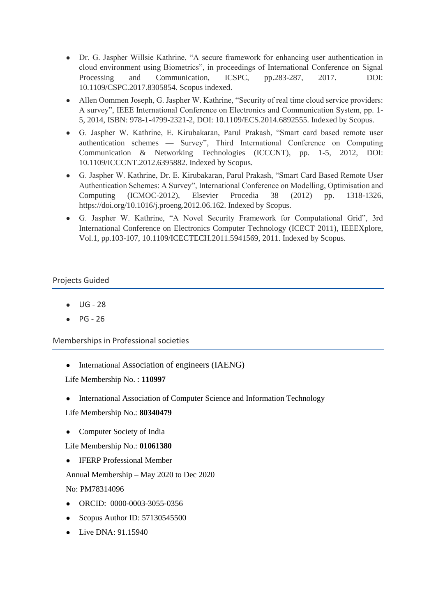- Dr. G. Jaspher Willsie Kathrine, "A secure framework for enhancing user authentication in cloud environment using Biometrics", in proceedings of International Conference on Signal Processing and Communication, ICSPC, pp.283-287, 2017. DOI: 10.1109/CSPC.2017.8305854. Scopus indexed.
- Allen Oommen Joseph, G. Jaspher W. Kathrine, "Security of real time cloud service providers: A survey", IEEE International Conference on Electronics and Communication System, pp. 1- 5, 2014, ISBN: 978-1-4799-2321-2, DOI: 10.1109/ECS.2014.6892555. Indexed by Scopus.
- G. Jaspher W. Kathrine, E. Kirubakaran, Parul Prakash, "Smart card based remote user authentication schemes — Survey", Third International Conference on Computing Communication & Networking Technologies (ICCCNT), pp. 1-5, 2012, DOI: 10.1109/ICCCNT.2012.6395882. Indexed by Scopus.
- G. Jaspher W. Kathrine, Dr. E. Kirubakaran, Parul Prakash, "Smart Card Based Remote User Authentication Schemes: A Survey", International Conference on Modelling, Optimisation and Computing (ICMOC-2012), Elsevier Procedia 38 (2012) pp. 1318-1326, https://doi.org/10.1016/j.proeng.2012.06.162. Indexed by Scopus.
- G. Jaspher W. Kathrine, "A Novel Security Framework for Computational Grid", 3rd International Conference on Electronics Computer Technology (ICECT 2011), IEEEXplore, Vol.1, pp.103-107, 10.1109/ICECTECH.2011.5941569, 2011. Indexed by Scopus.

## Projects Guided

- $UG 28$
- PG 26

Memberships in Professional societies

• International Association of engineers (IAENG)

Life Membership No. : **110997**

- International Association of Computer Science and Information Technology
- Life Membership No.: **80340479**
- Computer Society of India

Life Membership No.: **01061380**

**IFERP Professional Member** 

Annual Membership – May 2020 to Dec 2020

No: PM78314096

- ORCID: 0000-0003-3055-0356
- Scopus Author ID: 57130545500
- Live DNA: 91.15940